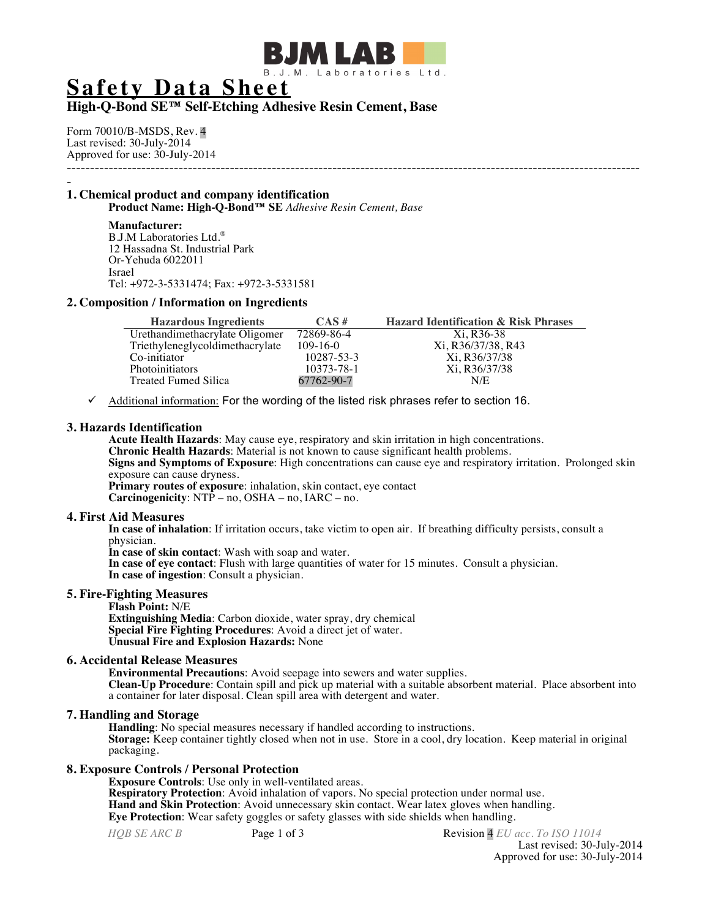

# **Safety Data Sheet**

# **High-Q-Bond SE™ Self-Etching Adhesive Resin Cement, Base**

Form 70010/B-MSDS, Rev. 4 Last revised: 30-July-2014 Approved for use: 30-July-2014 ---------------------------------------------------------------------------------------------------------------------------

# - **1. Chemical product and company identification**

**Product Name: High-Q-Bond™ SE** *Adhesive Resin Cement, Base*

# **Manufacturer:**

B.J.M Laboratories Ltd.® 12 Hassadna St. Industrial Park Or-Yehuda 6022011 Israel Tel: +972-3-5331474; Fax: +972-3-5331581

## **2. Composition / Information on Ingredients**

| <b>Hazardous Ingredients</b>    | $CAS \#$       | <b>Hazard Identification &amp; Risk Phrases</b> |
|---------------------------------|----------------|-------------------------------------------------|
| Urethandimethacrylate Oligomer  | 72869-86-4     | Xi. R36-38                                      |
| Triethyleneglycoldimethacrylate | $109 - 16 - 0$ | Xi, R36/37/38, R43                              |
| Co-initiator                    | 10287-53-3     | Xi, R36/37/38                                   |
| <b>Photoinitiators</b>          | 10373-78-1     | Xi, R36/37/38                                   |
| Treated Fumed Silica            | 67762-90-7     | N/E                                             |

ü Additional information: For the wording of the listed risk phrases refer to section 16.

## **3. Hazards Identification**

**Acute Health Hazards**: May cause eye, respiratory and skin irritation in high concentrations. **Chronic Health Hazards**: Material is not known to cause significant health problems. **Signs and Symptoms of Exposure**: High concentrations can cause eye and respiratory irritation. Prolonged skin exposure can cause dryness. **Primary routes of exposure**: inhalation, skin contact, eye contact

**Carcinogenicity**: NTP – no, OSHA – no, IARC – no.

#### **4. First Aid Measures**

**In case of inhalation**: If irritation occurs, take victim to open air. If breathing difficulty persists, consult a physician.

**In case of skin contact**: Wash with soap and water.

**In case of eye contact**: Flush with large quantities of water for 15 minutes. Consult a physician. **In case of ingestion**: Consult a physician.

## **5. Fire-Fighting Measures**

**Flash Point:** N/E

**Extinguishing Media**: Carbon dioxide, water spray, dry chemical **Special Fire Fighting Procedures**: Avoid a direct jet of water. **Unusual Fire and Explosion Hazards:** None

#### **6. Accidental Release Measures**

**Environmental Precautions**: Avoid seepage into sewers and water supplies. **Clean-Up Procedure**: Contain spill and pick up material with a suitable absorbent material. Place absorbent into a container for later disposal. Clean spill area with detergent and water.

## **7. Handling and Storage**

**Handling**: No special measures necessary if handled according to instructions. **Storage:** Keep container tightly closed when not in use. Store in a cool, dry location. Keep material in original packaging.

#### **8. Exposure Controls / Personal Protection**

**Exposure Controls**: Use only in well-ventilated areas. **Respiratory Protection**: Avoid inhalation of vapors. No special protection under normal use. **Hand and Skin Protection**: Avoid unnecessary skin contact. Wear latex gloves when handling. **Eye Protection**: Wear safety goggles or safety glasses with side shields when handling.

*HQB SE ARC B* **Page 1 of 3** Revision 4 *EU acc. To ISO 11014* Last revised: 30-July-2014 Approved for use: 30-July-2014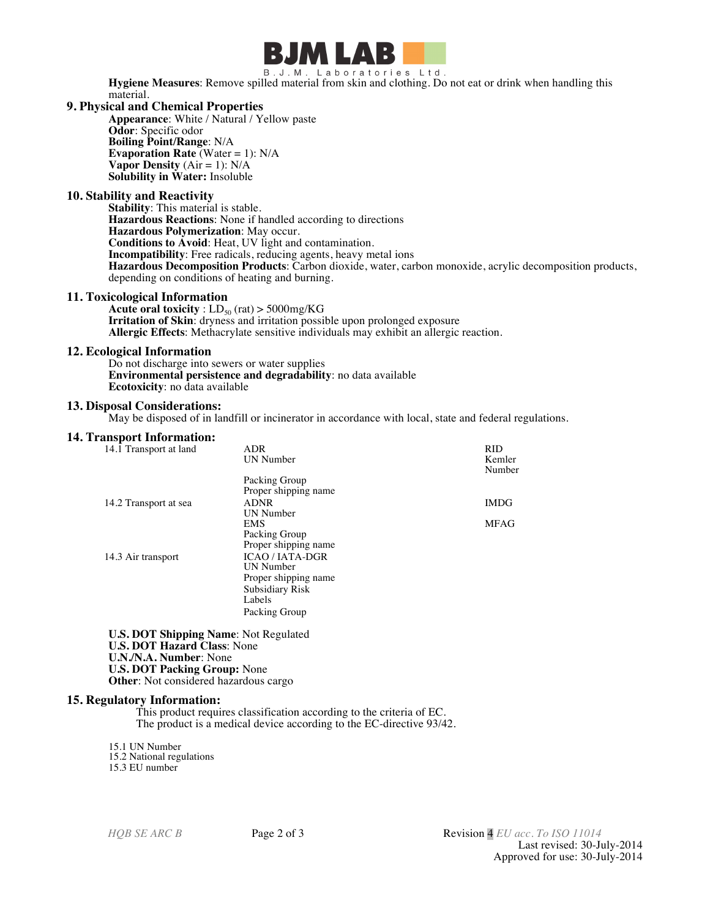

B.J.M. Laboratories Ltd. **Hygiene Measures**: Remove spilled material from skin and clothing. Do not eat or drink when handling this material.

#### **9. Physical and Chemical Properties**

**Appearance**: White / Natural / Yellow paste **Odor**: Specific odor **Boiling Point/Range**: N/A **Evaporation Rate** (Water = 1): N/A **Vapor Density**  $(Air = 1)$ :  $N/A$ **Solubility in Water:** Insoluble

## **10. Stability and Reactivity**

**Stability**: This material is stable. **Hazardous Reactions**: None if handled according to directions **Hazardous Polymerization**: May occur. **Conditions to Avoid**: Heat, UV light and contamination. **Incompatibility**: Free radicals, reducing agents, heavy metal ions **Hazardous Decomposition Products**: Carbon dioxide, water, carbon monoxide, acrylic decomposition products, depending on conditions of heating and burning.

## **11. Toxicological Information**

**Acute oral toxicity** :  $LD_{50}$  (rat) > 5000mg/KG **Irritation of Skin**: dryness and irritation possible upon prolonged exposure **Allergic Effects**: Methacrylate sensitive individuals may exhibit an allergic reaction.

#### **12. Ecological Information**

Do not discharge into sewers or water supplies **Environmental persistence and degradability**: no data available **Ecotoxicity**: no data available

#### **13. Disposal Considerations:**

May be disposed of in landfill or incinerator in accordance with local, state and federal regulations.

#### **14. Transport Information:**

| 14.1 Transport at land | <b>ADR</b><br>UN Number | <b>RID</b><br>Kemler<br>Number |
|------------------------|-------------------------|--------------------------------|
|                        | Packing Group           |                                |
|                        | Proper shipping name    |                                |
| 14.2 Transport at sea  | <b>ADNR</b>             | <b>IMDG</b>                    |
|                        | UN Number               |                                |
|                        | <b>EMS</b>              | <b>MFAG</b>                    |
|                        | Packing Group           |                                |
|                        | Proper shipping name    |                                |
| 14.3 Air transport     | <b>ICAO/IATA-DGR</b>    |                                |
|                        | UN Number               |                                |
|                        | Proper shipping name    |                                |
|                        | <b>Subsidiary Risk</b>  |                                |
|                        | Labels                  |                                |
|                        | Packing Group           |                                |

**U.S. DOT Shipping Name**: Not Regulated **U.S. DOT Hazard Class**: None **U.N./N.A. Number**: None **U.S. DOT Packing Group:** None **Other**: Not considered hazardous cargo

#### **15. Regulatory Information:**

This product requires classification according to the criteria of EC. The product is a medical device according to the EC-directive 93/42.

15.1 UN Number 15.2 National regulations 15.3 EU number